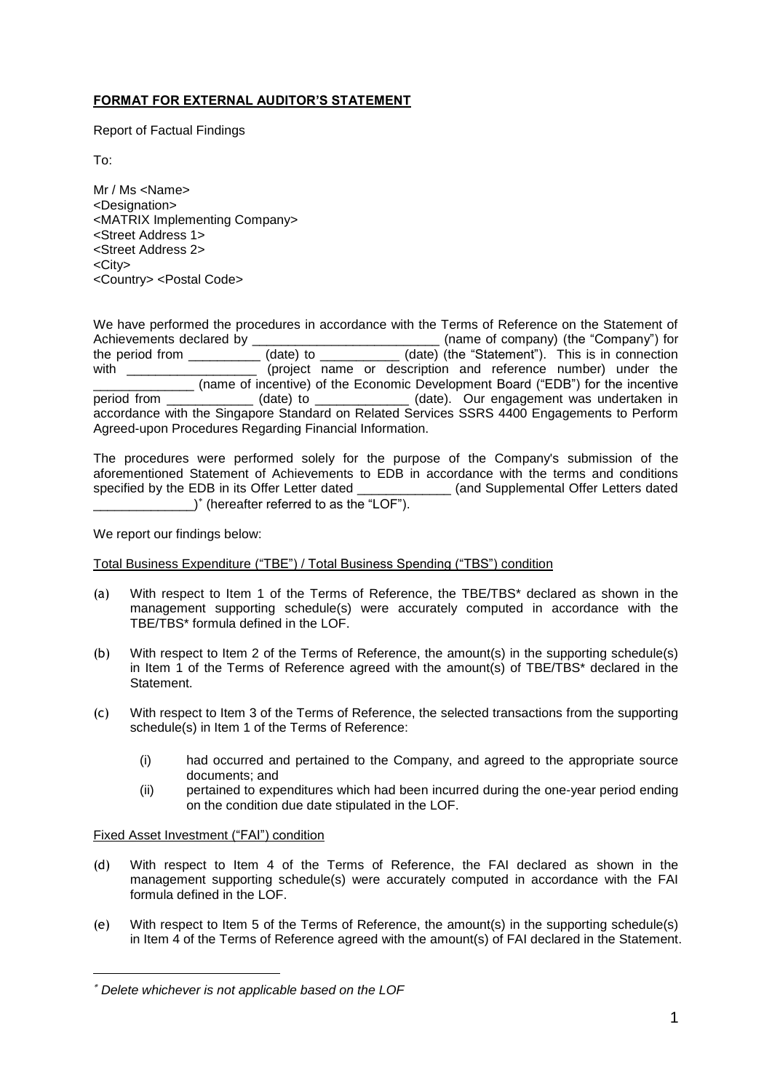# **FORMAT FOR EXTERNAL AUDITOR'S STATEMENT**

Report of Factual Findings

To:

Mr / Ms <Name> <Designation> <MATRIX Implementing Company> <Street Address 1> <Street Address 2> <City> <Country> <Postal Code>

We have performed the procedures in accordance with the Terms of Reference on the Statement of Achievements declared by  $\qquad \qquad \qquad$  (name of company) (the "Company") for the period from \_\_\_\_\_\_\_\_\_\_\_(date) to \_\_\_\_\_\_\_\_\_\_(date) (the "Statement"). This is in connection with \_\_\_\_\_\_\_\_\_\_\_\_\_\_\_\_\_\_\_\_ (project name or description and reference number) under the \_\_\_\_\_\_\_\_\_\_\_\_\_\_ (name of incentive) of the Economic Development Board ("EDB") for the incentive period from \_\_\_\_\_\_\_\_\_\_\_\_ (date) to \_\_\_\_\_\_\_\_\_\_\_\_\_ (date). Our engagement was undertaken in accordance with the Singapore Standard on Related Services SSRS 4400 Engagements to Perform Agreed-upon Procedures Regarding Financial Information.

The procedures were performed solely for the purpose of the Company's submission of the aforementioned Statement of Achievements to EDB in accordance with the terms and conditions specified by the EDB in its Offer Letter dated (and Supplemental Offer Letters dated specified by the EDB in its Offer Letter dated \_\_\_\_\_\_\_ \_\_\_\_\_\_\_\_\_\_\_\_\_\_) (hereafter referred to as the "LOF").

We report our findings below:

Total Business Expenditure ("TBE") / Total Business Spending ("TBS") condition

- (a) With respect to Item 1 of the Terms of Reference, the TBE/TBS\* declared as shown in the management supporting schedule(s) were accurately computed in accordance with the TBE/TBS\* formula defined in the LOF.
- (b) With respect to Item 2 of the Terms of Reference, the amount(s) in the supporting schedule(s) in Item 1 of the Terms of Reference agreed with the amount(s) of TBE/TBS\* declared in the Statement.
- (c) With respect to Item 3 of the Terms of Reference, the selected transactions from the supporting schedule(s) in Item 1 of the Terms of Reference:
	- (i) had occurred and pertained to the Company, and agreed to the appropriate source documents; and
	- (ii) pertained to expenditures which had been incurred during the one-year period ending on the condition due date stipulated in the LOF.

### Fixed Asset Investment ("FAI") condition

-

- (d) With respect to Item 4 of the Terms of Reference, the FAI declared as shown in the management supporting schedule(s) were accurately computed in accordance with the FAI formula defined in the LOF.
- (e) With respect to Item 5 of the Terms of Reference, the amount(s) in the supporting schedule(s) in Item 4 of the Terms of Reference agreed with the amount(s) of FAI declared in the Statement.

*Delete whichever is not applicable based on the LOF*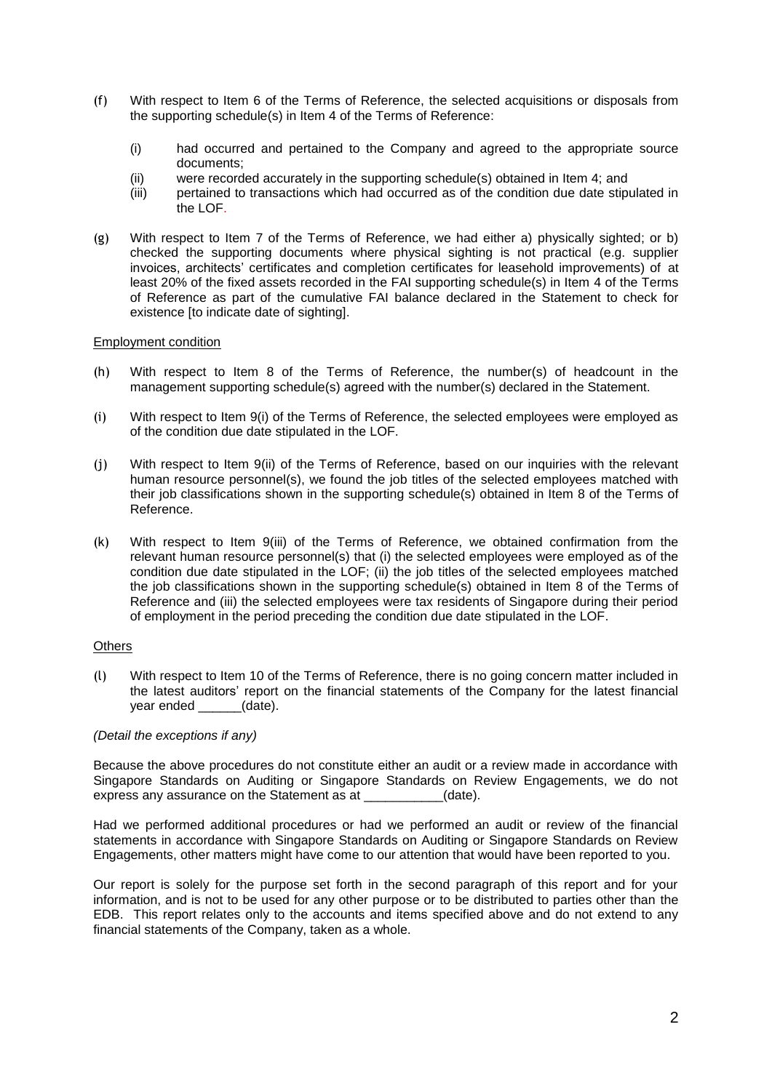- (f) With respect to Item 6 of the Terms of Reference, the selected acquisitions or disposals from the supporting schedule(s) in Item 4 of the Terms of Reference:
	- (i) had occurred and pertained to the Company and agreed to the appropriate source documents;
	- (ii) were recorded accurately in the supporting schedule(s) obtained in Item 4; and
	- (iii) pertained to transactions which had occurred as of the condition due date stipulated in the LOF.
- (g) With respect to Item 7 of the Terms of Reference, we had either a) physically sighted; or b) checked the supporting documents where physical sighting is not practical (e.g. supplier invoices, architects' certificates and completion certificates for leasehold improvements) of at least 20% of the fixed assets recorded in the FAI supporting schedule(s) in Item 4 of the Terms of Reference as part of the cumulative FAI balance declared in the Statement to check for existence [to indicate date of sighting].

#### Employment condition

- (h) With respect to Item 8 of the Terms of Reference, the number(s) of headcount in the management supporting schedule(s) agreed with the number(s) declared in the Statement.
- (i) With respect to Item 9(i) of the Terms of Reference, the selected employees were employed as of the condition due date stipulated in the LOF.
- (j) With respect to Item 9(ii) of the Terms of Reference, based on our inquiries with the relevant human resource personnel(s), we found the job titles of the selected employees matched with their job classifications shown in the supporting schedule(s) obtained in Item 8 of the Terms of Reference.
- (k) With respect to Item 9(iii) of the Terms of Reference, we obtained confirmation from the relevant human resource personnel(s) that (i) the selected employees were employed as of the condition due date stipulated in the LOF; (ii) the job titles of the selected employees matched the job classifications shown in the supporting schedule(s) obtained in Item 8 of the Terms of Reference and (iii) the selected employees were tax residents of Singapore during their period of employment in the period preceding the condition due date stipulated in the LOF.

#### **Others**

(l) With respect to Item 10 of the Terms of Reference, there is no going concern matter included in the latest auditors' report on the financial statements of the Company for the latest financial year ended \_\_\_\_\_\_(date).

#### *(Detail the exceptions if any)*

Because the above procedures do not constitute either an audit or a review made in accordance with Singapore Standards on Auditing or Singapore Standards on Review Engagements, we do not express any assurance on the Statement as at  $(date).$ 

Had we performed additional procedures or had we performed an audit or review of the financial statements in accordance with Singapore Standards on Auditing or Singapore Standards on Review Engagements, other matters might have come to our attention that would have been reported to you.

Our report is solely for the purpose set forth in the second paragraph of this report and for your information, and is not to be used for any other purpose or to be distributed to parties other than the EDB. This report relates only to the accounts and items specified above and do not extend to any financial statements of the Company, taken as a whole.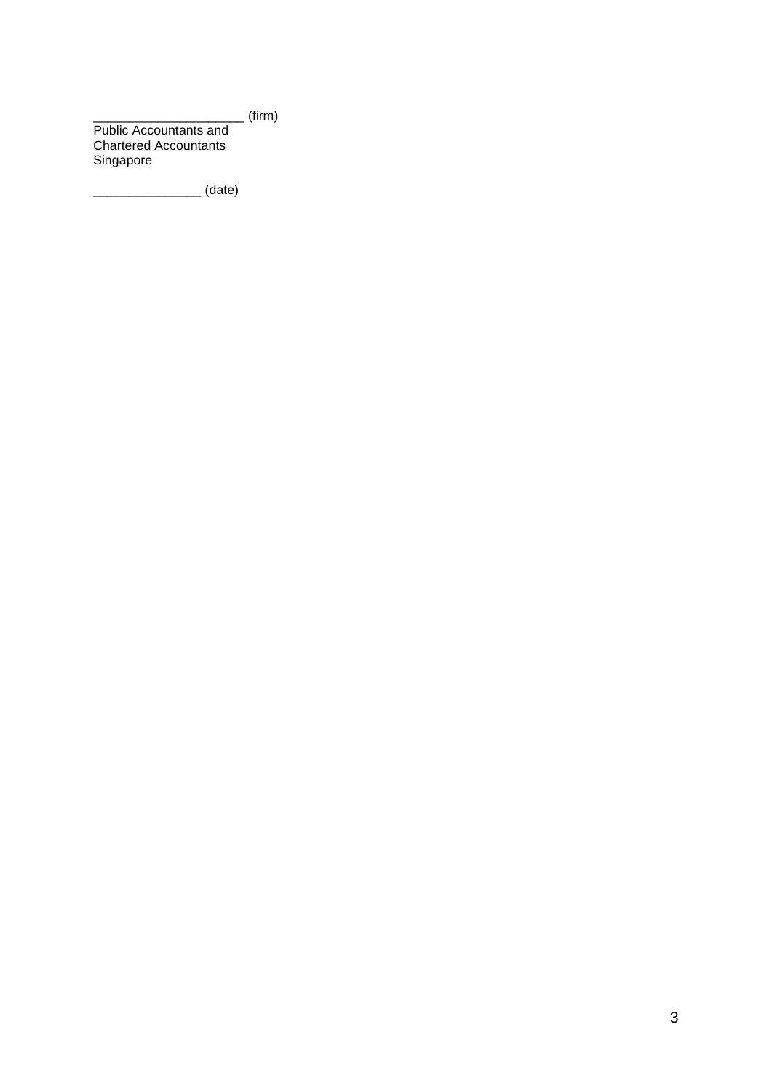\_\_\_\_\_\_\_\_\_\_\_\_\_\_\_\_\_\_\_\_\_ (firm) Public Accountants and Chartered Accountants Singapore

\_\_\_\_\_\_\_\_\_\_\_\_\_\_\_ (date)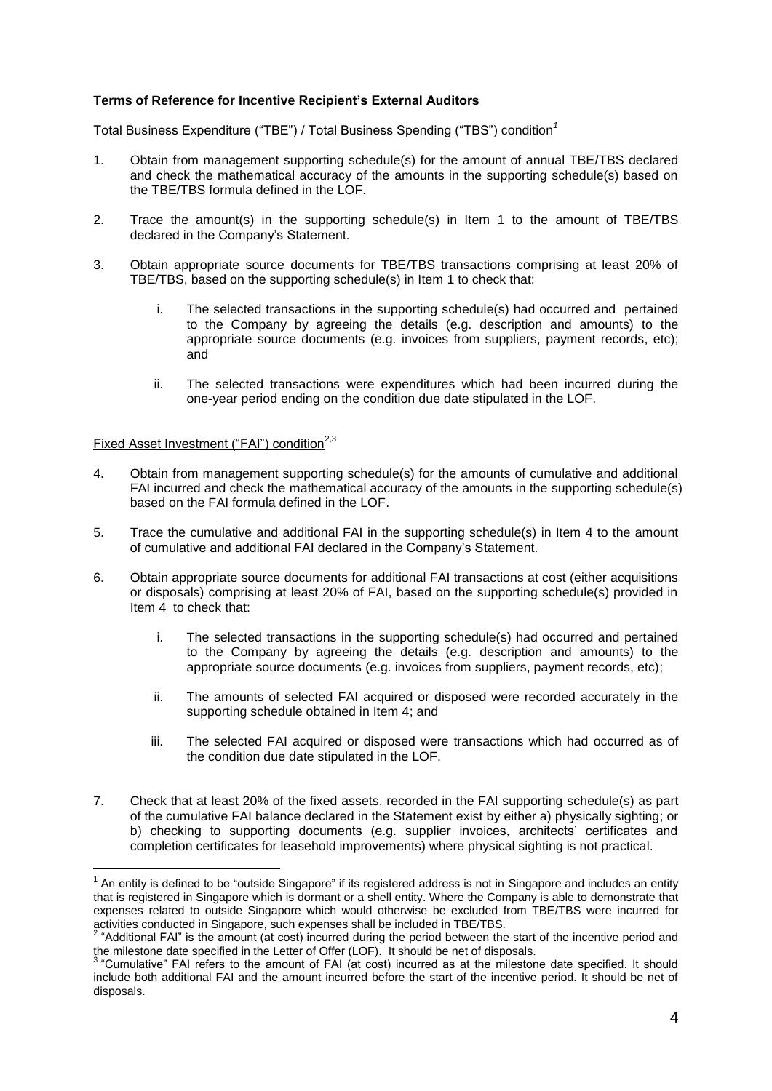## **Terms of Reference for Incentive Recipient's External Auditors**

Total Business Expenditure ("TBE") / Total Business Spending ("TBS") condition*<sup>1</sup>*

- 1. Obtain from management supporting schedule(s) for the amount of annual TBE/TBS declared and check the mathematical accuracy of the amounts in the supporting schedule(s) based on the TBE/TBS formula defined in the LOF.
- 2. Trace the amount(s) in the supporting schedule(s) in Item 1 to the amount of TBE/TBS declared in the Company's Statement.
- 3. Obtain appropriate source documents for TBE/TBS transactions comprising at least 20% of TBE/TBS, based on the supporting schedule(s) in Item 1 to check that:
	- i. The selected transactions in the supporting schedule(s) had occurred and pertained to the Company by agreeing the details (e.g. description and amounts) to the appropriate source documents (e.g. invoices from suppliers, payment records, etc); and
	- ii. The selected transactions were expenditures which had been incurred during the one-year period ending on the condition due date stipulated in the LOF.

#### Fixed Asset Investment ("FAI") condition<sup>2,3</sup>

-

- 4. Obtain from management supporting schedule(s) for the amounts of cumulative and additional FAI incurred and check the mathematical accuracy of the amounts in the supporting schedule(s) based on the FAI formula defined in the LOF.
- 5. Trace the cumulative and additional FAI in the supporting schedule(s) in Item 4 to the amount of cumulative and additional FAI declared in the Company's Statement.
- 6. Obtain appropriate source documents for additional FAI transactions at cost (either acquisitions or disposals) comprising at least 20% of FAI, based on the supporting schedule(s) provided in Item 4 to check that:
	- i. The selected transactions in the supporting schedule(s) had occurred and pertained to the Company by agreeing the details (e.g. description and amounts) to the appropriate source documents (e.g. invoices from suppliers, payment records, etc);
	- ii. The amounts of selected FAI acquired or disposed were recorded accurately in the supporting schedule obtained in Item 4; and
	- iii. The selected FAI acquired or disposed were transactions which had occurred as of the condition due date stipulated in the LOF.
- 7. Check that at least 20% of the fixed assets, recorded in the FAI supporting schedule(s) as part of the cumulative FAI balance declared in the Statement exist by either a) physically sighting; or b) checking to supporting documents (e.g. supplier invoices, architects' certificates and completion certificates for leasehold improvements) where physical sighting is not practical.

 $1$  An entity is defined to be "outside Singapore" if its registered address is not in Singapore and includes an entity that is registered in Singapore which is dormant or a shell entity. Where the Company is able to demonstrate that expenses related to outside Singapore which would otherwise be excluded from TBE/TBS were incurred for activities conducted in Singapore, such expenses shall be included in TBE/TBS.<br><sup>2</sup> "Additional FAI" is the amount (at cost) incurred during the period between the start of the incentive period and

the milestone date specified in the Letter of Offer (LOF). It should be net of disposals.<br><sup>3</sup> "Cumulative" FAI refers to the amount of FAI (at cost) incurred as at the milestone date specified. It should include both additional FAI and the amount incurred before the start of the incentive period. It should be net of disposals.